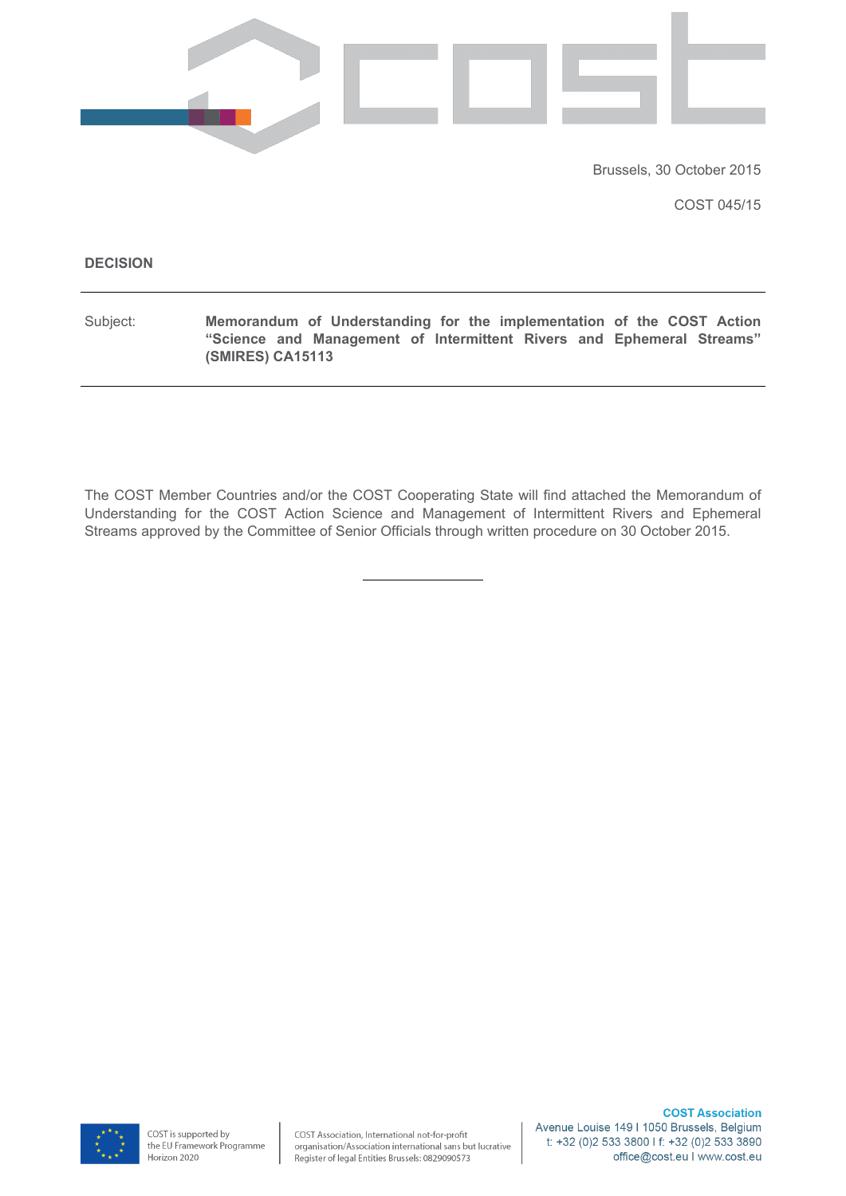

Brussels, 30 October 2015

COST 045/15

#### **decision**

Subject: Memorandum of Understanding for the implementation of the COST Action "Science and Management of Intermittent Rivers and Ephemeral Streams" **(SMIRES) CA15113** 

The COST Member Countries and/or the COST Cooperating State will find attached the Memorandum of Understanding for the COST Action Science and Management of Intermittent Rivers and Ephemeral Streams approved by the Committee of Senior Officials through written procedure on 30 October 2015.

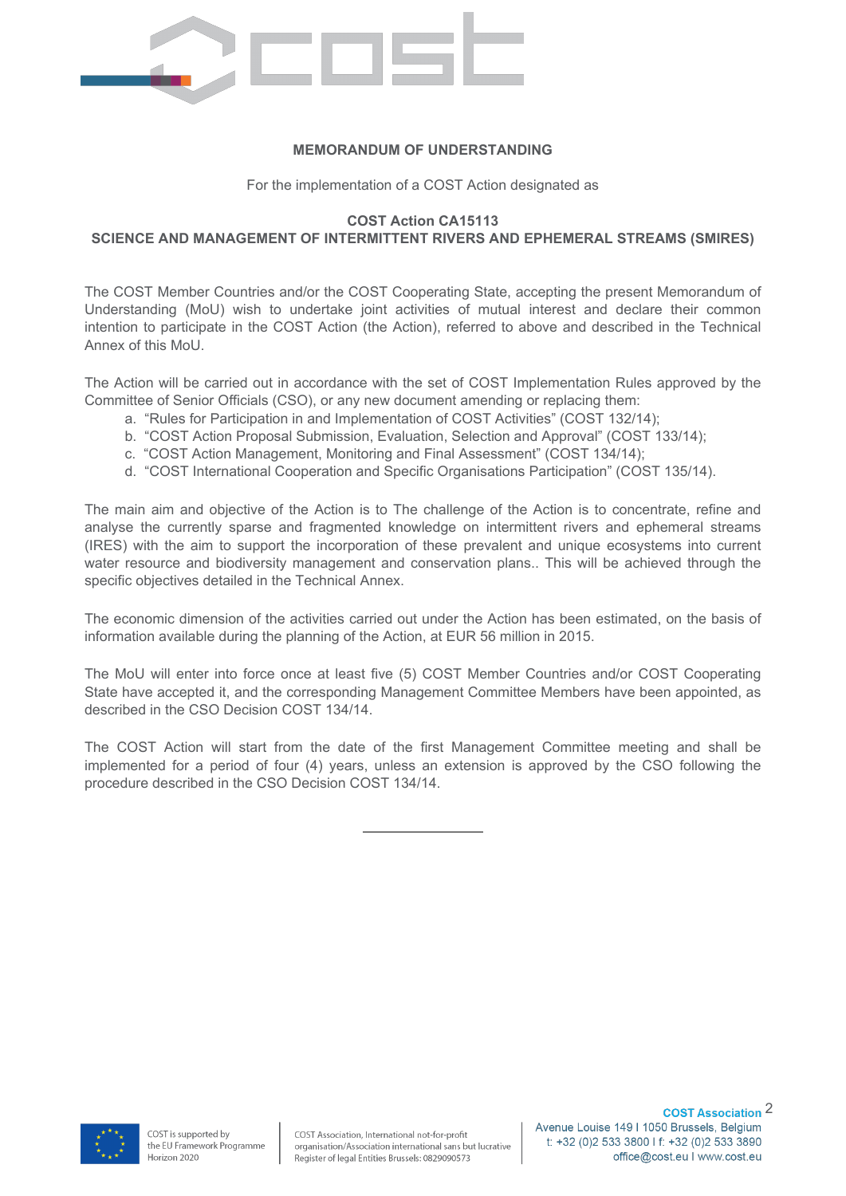

#### **MEMORANDUM OF UNDERSTANDING**

For the implementation of a COST Action designated as

#### **COST Action CA15113**

## **SCIENCE AND MANAGEMENT OF INTERMITTENT RIVERS AND EPHEMERAL STREAMS (SMIRES)**

The COST Member Countries and/or the COST Cooperating State, accepting the present Memorandum of Understanding (MoU) wish to undertake joint activities of mutual interest and declare their common intention to participate in the COST Action (the Action), referred to above and described in the Technical Annex of this MoU.

The Action will be carried out in accordance with the set of COST Implementation Rules approved by the Committee of Senior Officials (CSO), or any new document amending or replacing them:

- a. "Rules for Participation in and Implementation of COST Activities" (COST 132/14);
- b. "COST Action Proposal Submission, Evaluation, Selection and Approval" (COST 133/14);
- c. "COST Action Management, Monitoring and Final Assessment" (COST 134/14);
- d. "COST International Cooperation and Specific Organisations Participation" (COST 135/14).

The main aim and objective of the Action is to The challenge of the Action is to concentrate, refine and analyse the currently sparse and fragmented knowledge on intermittent rivers and ephemeral streams (IRES) with the aim to support the incorporation of these prevalent and unique ecosystems into current water resource and biodiversity management and conservation plans.. This will be achieved through the specific objectives detailed in the Technical Annex.

The economic dimension of the activities carried out under the Action has been estimated, on the basis of information available during the planning of the Action, at EUR 56 million in 2015.

The MoU will enter into force once at least five (5) COST Member Countries and/or COST Cooperating State have accepted it, and the corresponding Management Committee Members have been appointed, as described in the CSO Decision COST 134/14.

The COST Action will start from the date of the first Management Committee meeting and shall be implemented for a period of four (4) years, unless an extension is approved by the CSO following the procedure described in the CSO Decision COST 134/14.

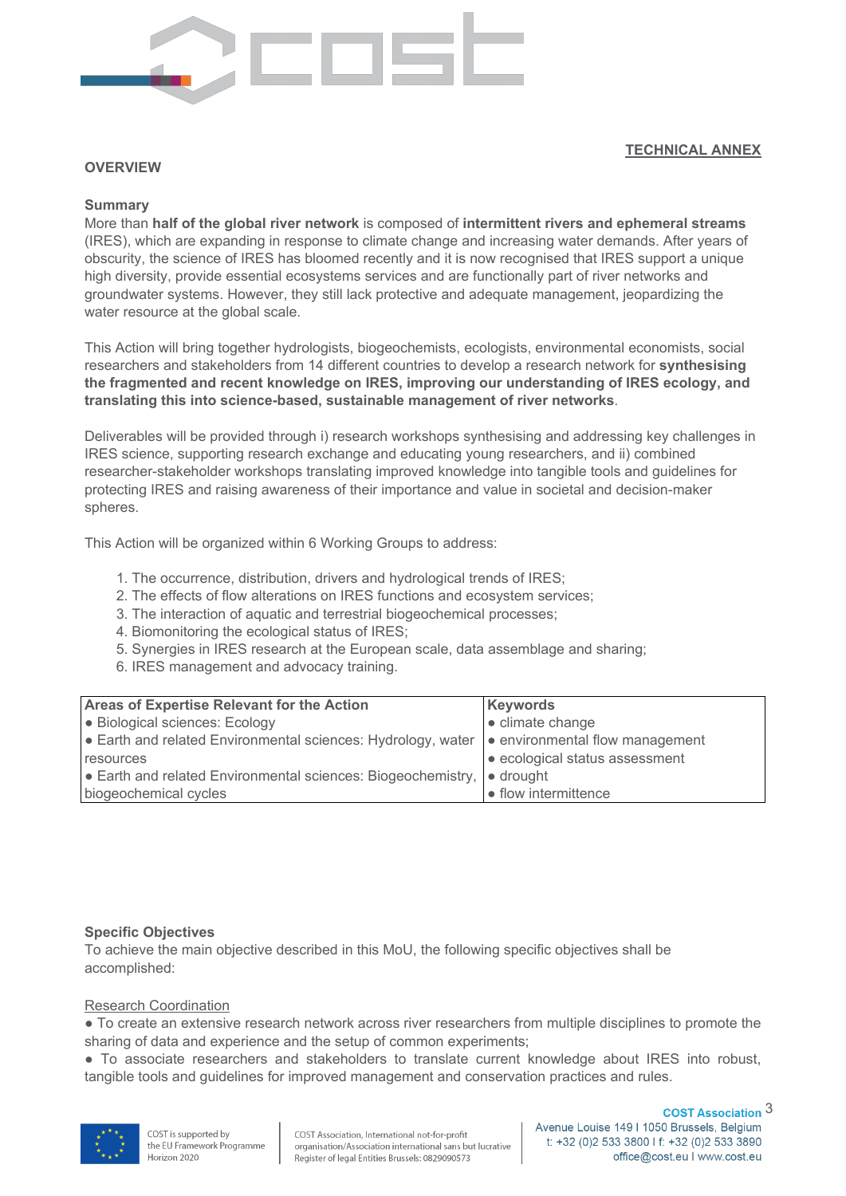

#### **TECHNICAL ANNEX**

#### **overview**

#### **Summary**

More than half of the global river network is composed of intermittent rivers and ephemeral streams (IRES), which are expanding in response to climate change and increasing water demands. After years of obscurity, the science of IRES has bloomed recently and it is now recognised that IRES support a unique high diversity, provide essential ecosystems services and are functionally part of river networks and groundwater systems. However, they still lack protective and adequate management, jeopardizing the water resource at the global scale.

This Action will bring together hydrologists, biogeochemists, ecologists, environmental economists, social researchers and stakeholders from 14 different countries to develop a research network for synthesising the fragmented and recent knowledge on IRES, improving our understanding of IRES ecology, and translating this into science-based, sustainable management of river networks.

Deliverables will be provided through i) research workshops synthesising and addressing key challenges in IRES science, supporting research exchange and educating young researchers, and ii) combined researcher-stakeholder workshops translating improved knowledge into tangible tools and guidelines for protecting IRES and raising awareness of their importance and value in societal and decision-maker spheres.

This Action will be organized within 6 Working Groups to address:

- 1. The occurrence, distribution, drivers and hydrological trends of IRES;
- 2. The effects of flow alterations on IRES functions and ecosystem services;
- 3. The interaction of aquatic and terrestrial biogeochemical processes;
- 4. Biomonitoring the ecological status of IRES;
- 5. Synergies in IRES research at the European scale, data assemblage and sharing:
- 6. IRES management and advocacy training.

| <b>Areas of Expertise Relevant for the Action</b>                                                                | Keywords                       |
|------------------------------------------------------------------------------------------------------------------|--------------------------------|
| • Biological sciences: Ecology                                                                                   | • climate change               |
| • Earth and related Environmental sciences: Hydrology, water $\vert \bullet \vert$ environmental flow management |                                |
| resources                                                                                                        | • ecological status assessment |
| $\bullet$ Earth and related Environmental sciences: Biogeochemistry, $\bullet$ drought                           |                                |
| biogeochemical cycles                                                                                            | $\bullet$ flow intermittence   |

#### **Specific Objectives**

To achieve the main objective described in this MoU, the following specific objectives shall be accomplished:

#### Research Coordination

• To create an extensive research network across river researchers from multiple disciplines to promote the sharing of data and experience and the setup of common experiments;

• To associate researchers and stakeholders to translate current knowledge about IRES into robust, tangible tools and guidelines for improved management and conservation practices and rules.

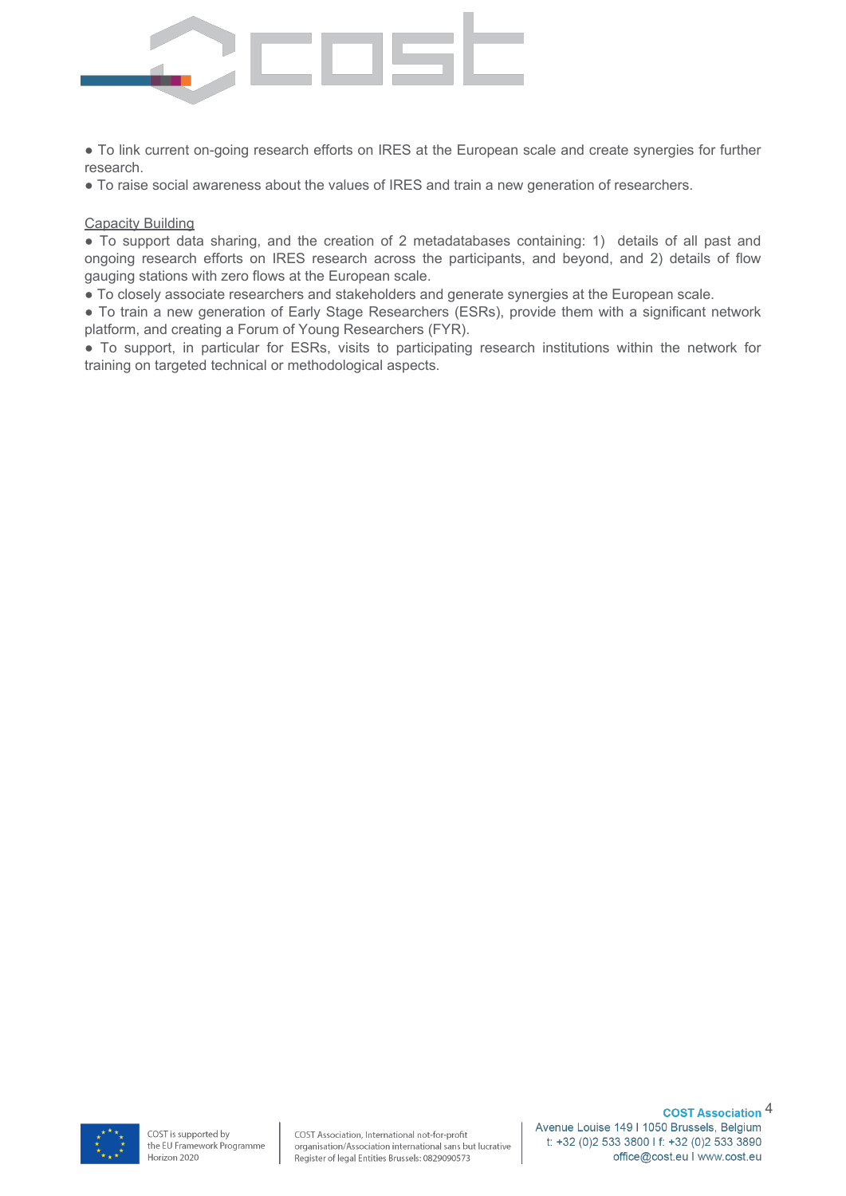

• To link current on-going research efforts on IRES at the European scale and create synergies for further research.

• To raise social awareness about the values of IRES and train a new generation of researchers.

#### **Capacity Building**

• To support data sharing, and the creation of 2 metadatabases containing: 1) details of all past and ongoing research efforts on IRES research across the participants, and beyond, and 2) details of flow gauging stations with zero flows at the European scale.

• To closely associate researchers and stakeholders and generate synergies at the European scale.

• To train a new generation of Early Stage Researchers (ESRs), provide them with a significant network platform, and creating a Forum of Young Researchers (FYR).

• To support, in particular for ESRs, visits to participating research institutions within the network for training on targeted technical or methodological aspects.

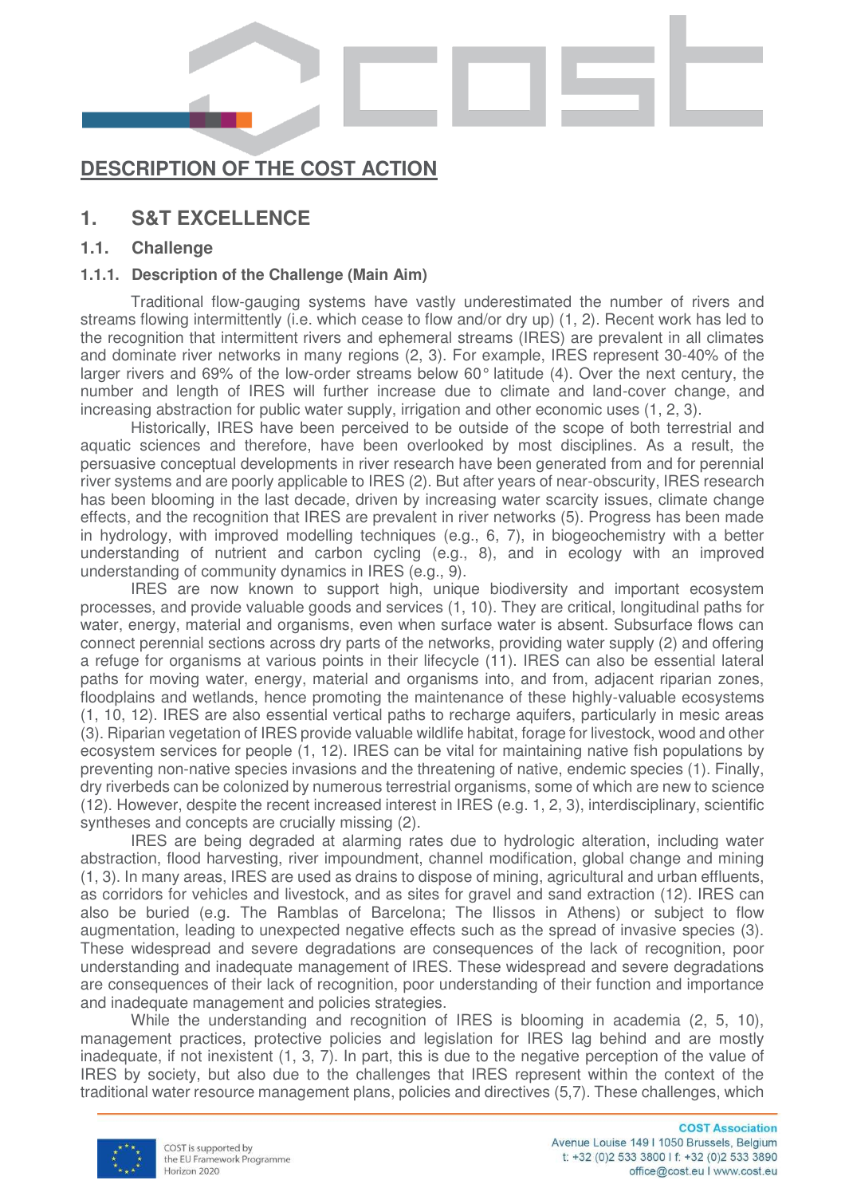

# **DESCRIPTION OF THE COST ACTION**

# **1. S&T EXCELLENCE**

# **1.1. Challenge**

# **1.1.1. Description of the Challenge (Main Aim)**

Traditional flow-gauging systems have vastly underestimated the number of rivers and streams flowing intermittently (i.e. which cease to flow and/or dry up) (1, 2). Recent work has led to the recognition that intermittent rivers and ephemeral streams (IRES) are prevalent in all climates and dominate river networks in many regions (2, 3). For example, IRES represent 30-40% of the larger rivers and 69% of the low-order streams below 60° latitude (4). Over the next century, the number and length of IRES will further increase due to climate and land-cover change, and increasing abstraction for public water supply, irrigation and other economic uses (1, 2, 3).

Historically, IRES have been perceived to be outside of the scope of both terrestrial and aquatic sciences and therefore, have been overlooked by most disciplines. As a result, the persuasive conceptual developments in river research have been generated from and for perennial river systems and are poorly applicable to IRES (2). But after years of near-obscurity, IRES research has been blooming in the last decade, driven by increasing water scarcity issues, climate change effects, and the recognition that IRES are prevalent in river networks (5). Progress has been made in hydrology, with improved modelling techniques (e.g., 6, 7), in biogeochemistry with a better understanding of nutrient and carbon cycling (e.g., 8), and in ecology with an improved understanding of community dynamics in IRES (e.g., 9).

IRES are now known to support high, unique biodiversity and important ecosystem processes, and provide valuable goods and services (1, 10). They are critical, longitudinal paths for water, energy, material and organisms, even when surface water is absent. Subsurface flows can connect perennial sections across dry parts of the networks, providing water supply (2) and offering a refuge for organisms at various points in their lifecycle (11). IRES can also be essential lateral paths for moving water, energy, material and organisms into, and from, adjacent riparian zones, floodplains and wetlands, hence promoting the maintenance of these highly-valuable ecosystems (1, 10, 12). IRES are also essential vertical paths to recharge aquifers, particularly in mesic areas (3). Riparian vegetation of IRES provide valuable wildlife habitat, forage for livestock, wood and other ecosystem services for people (1, 12). IRES can be vital for maintaining native fish populations by preventing non-native species invasions and the threatening of native, endemic species (1). Finally, dry riverbeds can be colonized by numerous terrestrial organisms, some of which are new to science (12). However, despite the recent increased interest in IRES (e.g. 1, 2, 3), interdisciplinary, scientific syntheses and concepts are crucially missing (2).

IRES are being degraded at alarming rates due to hydrologic alteration, including water abstraction, flood harvesting, river impoundment, channel modification, global change and mining (1, 3). In many areas, IRES are used as drains to dispose of mining, agricultural and urban effluents, as corridors for vehicles and livestock, and as sites for gravel and sand extraction (12). IRES can also be buried (e.g. The Ramblas of Barcelona; The Ilissos in Athens) or subject to flow augmentation, leading to unexpected negative effects such as the spread of invasive species (3). These widespread and severe degradations are consequences of the lack of recognition, poor understanding and inadequate management of IRES. These widespread and severe degradations are consequences of their lack of recognition, poor understanding of their function and importance and inadequate management and policies strategies.

While the understanding and recognition of IRES is blooming in academia (2, 5, 10), management practices, protective policies and legislation for IRES lag behind and are mostly inadequate, if not inexistent (1, 3, 7). In part, this is due to the negative perception of the value of IRES by society, but also due to the challenges that IRES represent within the context of the traditional water resource management plans, policies and directives (5,7). These challenges, which

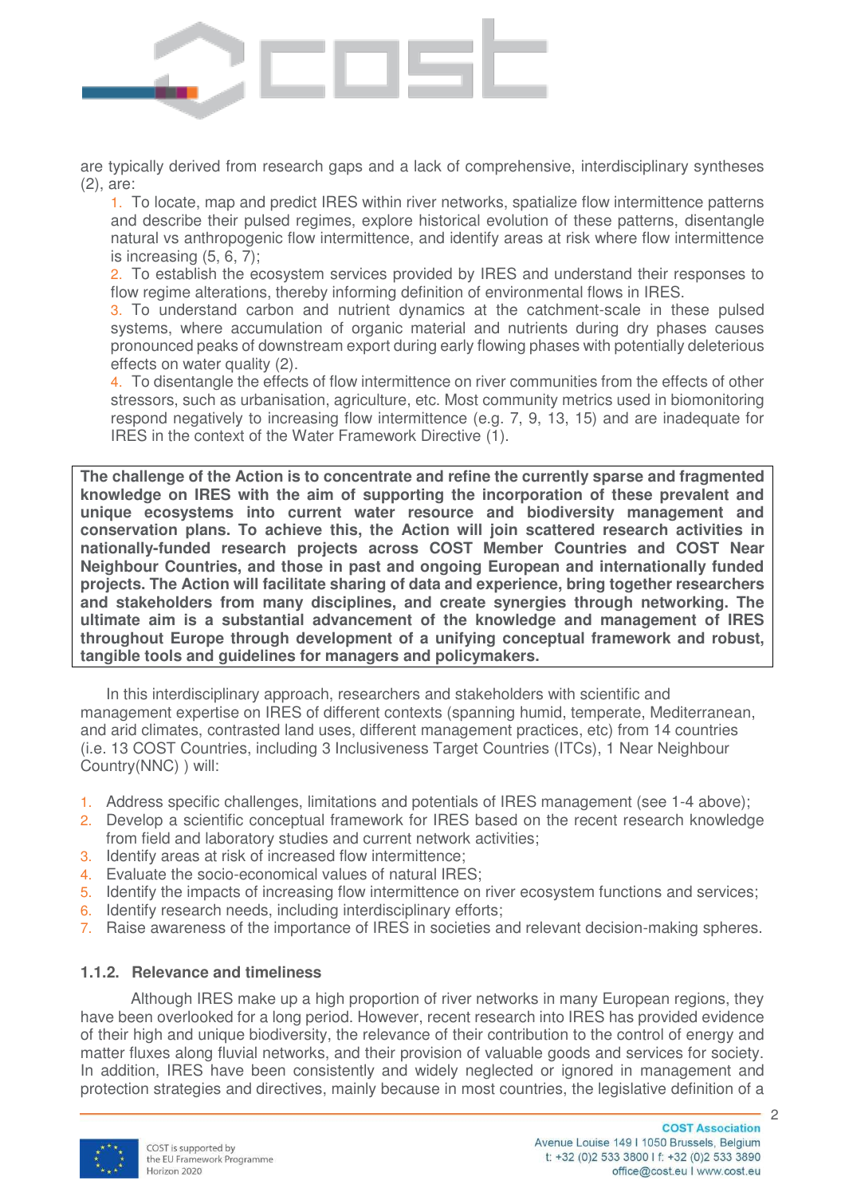

are typically derived from research gaps and a lack of comprehensive, interdisciplinary syntheses (2), are:

1. To locate, map and predict IRES within river networks, spatialize flow intermittence patterns and describe their pulsed regimes, explore historical evolution of these patterns, disentangle natural vs anthropogenic flow intermittence, and identify areas at risk where flow intermittence is increasing (5, 6, 7);

2. To establish the ecosystem services provided by IRES and understand their responses to flow regime alterations, thereby informing definition of environmental flows in IRES.

3. To understand carbon and nutrient dynamics at the catchment-scale in these pulsed systems, where accumulation of organic material and nutrients during dry phases causes pronounced peaks of downstream export during early flowing phases with potentially deleterious effects on water quality (2).

4. To disentangle the effects of flow intermittence on river communities from the effects of other stressors, such as urbanisation, agriculture, etc. Most community metrics used in biomonitoring respond negatively to increasing flow intermittence (e.g. 7, 9, 13, 15) and are inadequate for IRES in the context of the Water Framework Directive (1).

**The challenge of the Action is to concentrate and refine the currently sparse and fragmented knowledge on IRES with the aim of supporting the incorporation of these prevalent and unique ecosystems into current water resource and biodiversity management and conservation plans. To achieve this, the Action will join scattered research activities in nationally-funded research projects across COST Member Countries and COST Near Neighbour Countries, and those in past and ongoing European and internationally funded projects. The Action will facilitate sharing of data and experience, bring together researchers and stakeholders from many disciplines, and create synergies through networking. The ultimate aim is a substantial advancement of the knowledge and management of IRES throughout Europe through development of a unifying conceptual framework and robust, tangible tools and guidelines for managers and policymakers.** 

In this interdisciplinary approach, researchers and stakeholders with scientific and management expertise on IRES of different contexts (spanning humid, temperate, Mediterranean, and arid climates, contrasted land uses, different management practices, etc) from 14 countries (i.e. 13 COST Countries, including 3 Inclusiveness Target Countries (ITCs), 1 Near Neighbour Country(NNC) ) will:

- 1. Address specific challenges, limitations and potentials of IRES management (see 1-4 above);
- 2. Develop a scientific conceptual framework for IRES based on the recent research knowledge from field and laboratory studies and current network activities;
- 3. Identify areas at risk of increased flow intermittence;
- 4. Evaluate the socio-economical values of natural IRES;
- 5. Identify the impacts of increasing flow intermittence on river ecosystem functions and services;
- 6. Identify research needs, including interdisciplinary efforts;
- 7. Raise awareness of the importance of IRES in societies and relevant decision-making spheres.

# **1.1.2. Relevance and timeliness**

Although IRES make up a high proportion of river networks in many European regions, they have been overlooked for a long period. However, recent research into IRES has provided evidence of their high and unique biodiversity, the relevance of their contribution to the control of energy and matter fluxes along fluvial networks, and their provision of valuable goods and services for society. In addition, IRES have been consistently and widely neglected or ignored in management and protection strategies and directives, mainly because in most countries, the legislative definition of a

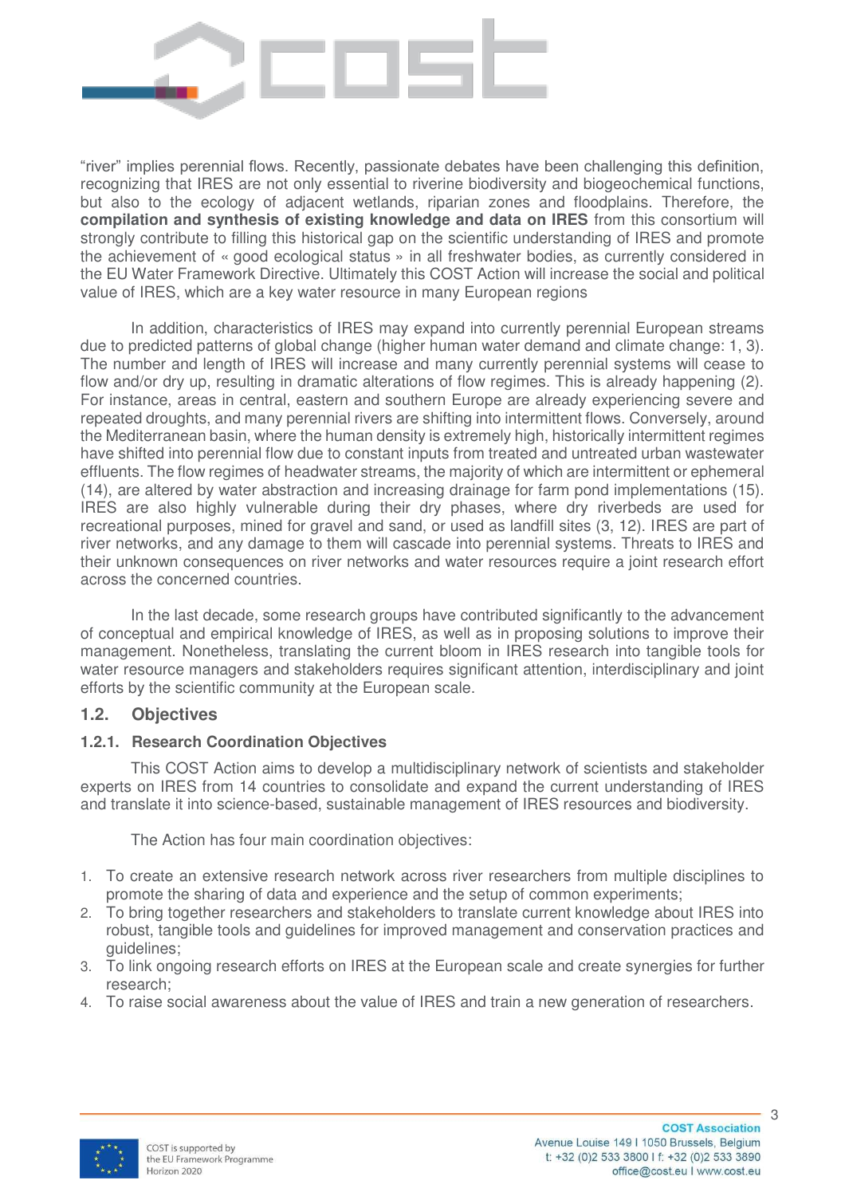

"river" implies perennial flows. Recently, passionate debates have been challenging this definition, recognizing that IRES are not only essential to riverine biodiversity and biogeochemical functions, but also to the ecology of adjacent wetlands, riparian zones and floodplains. Therefore, the **compilation and synthesis of existing knowledge and data on IRES** from this consortium will strongly contribute to filling this historical gap on the scientific understanding of IRES and promote the achievement of « good ecological status » in all freshwater bodies, as currently considered in the EU Water Framework Directive. Ultimately this COST Action will increase the social and political value of IRES, which are a key water resource in many European regions

In addition, characteristics of IRES may expand into currently perennial European streams due to predicted patterns of global change (higher human water demand and climate change: 1, 3). The number and length of IRES will increase and many currently perennial systems will cease to flow and/or dry up, resulting in dramatic alterations of flow regimes. This is already happening (2). For instance, areas in central, eastern and southern Europe are already experiencing severe and repeated droughts, and many perennial rivers are shifting into intermittent flows. Conversely, around the Mediterranean basin, where the human density is extremely high, historically intermittent regimes have shifted into perennial flow due to constant inputs from treated and untreated urban wastewater effluents. The flow regimes of headwater streams, the majority of which are intermittent or ephemeral (14), are altered by water abstraction and increasing drainage for farm pond implementations (15). IRES are also highly vulnerable during their dry phases, where dry riverbeds are used for recreational purposes, mined for gravel and sand, or used as landfill sites (3, 12). IRES are part of river networks, and any damage to them will cascade into perennial systems. Threats to IRES and their unknown consequences on river networks and water resources require a joint research effort across the concerned countries.

In the last decade, some research groups have contributed significantly to the advancement of conceptual and empirical knowledge of IRES, as well as in proposing solutions to improve their management. Nonetheless, translating the current bloom in IRES research into tangible tools for water resource managers and stakeholders requires significant attention, interdisciplinary and joint efforts by the scientific community at the European scale.

# **1.2. Objectives**

#### **1.2.1. Research Coordination Objectives**

This COST Action aims to develop a multidisciplinary network of scientists and stakeholder experts on IRES from 14 countries to consolidate and expand the current understanding of IRES and translate it into science-based, sustainable management of IRES resources and biodiversity.

The Action has four main coordination objectives:

- 1. To create an extensive research network across river researchers from multiple disciplines to promote the sharing of data and experience and the setup of common experiments;
- 2. To bring together researchers and stakeholders to translate current knowledge about IRES into robust, tangible tools and guidelines for improved management and conservation practices and guidelines;
- 3. To link ongoing research efforts on IRES at the European scale and create synergies for further research;
- 4. To raise social awareness about the value of IRES and train a new generation of researchers.

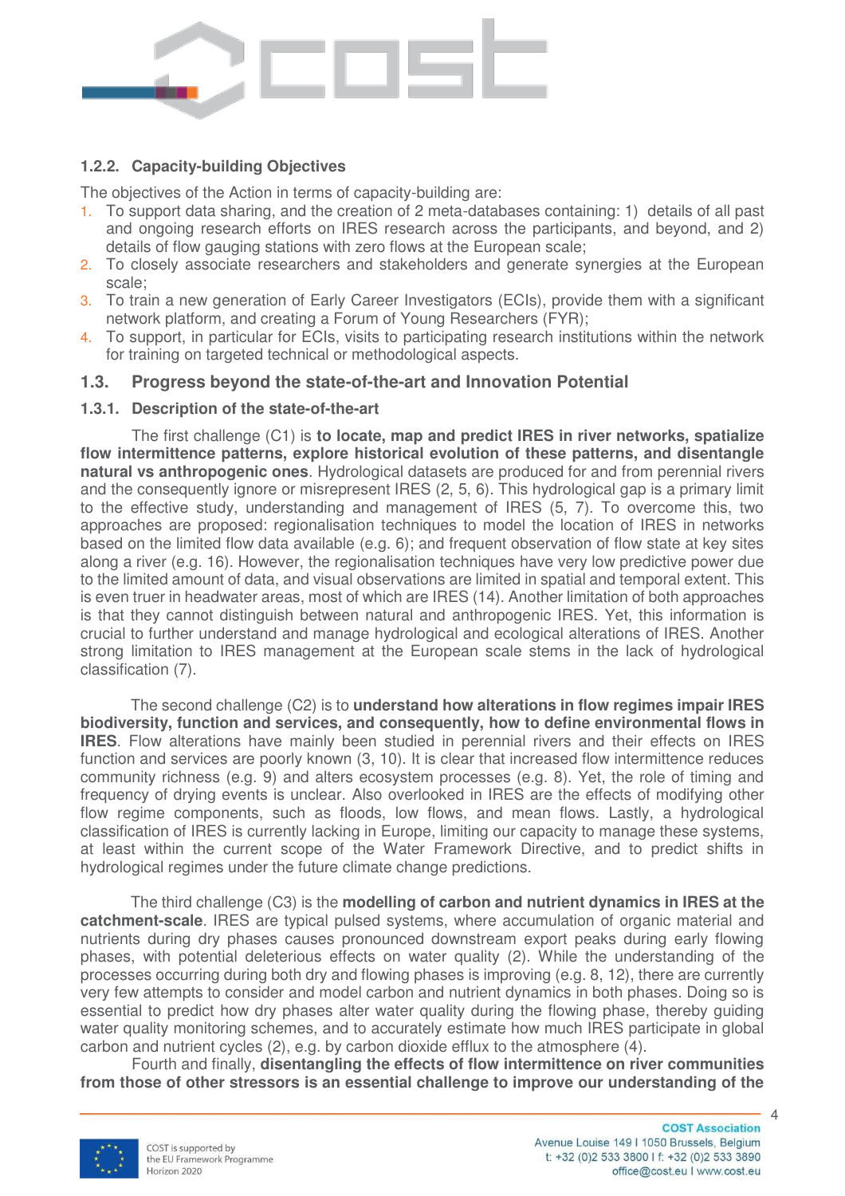

# **1.2.2. Capacity-building Objectives**

The objectives of the Action in terms of capacity-building are:

- 1. To support data sharing, and the creation of 2 meta-databases containing: 1) details of all past and ongoing research efforts on IRES research across the participants, and beyond, and 2) details of flow gauging stations with zero flows at the European scale;
- 2. To closely associate researchers and stakeholders and generate synergies at the European scale;
- 3. To train a new generation of Early Career Investigators (ECIs), provide them with a significant network platform, and creating a Forum of Young Researchers (FYR);
- 4. To support, in particular for ECIs, visits to participating research institutions within the network for training on targeted technical or methodological aspects.

## **1.3. Progress beyond the state-of-the-art and Innovation Potential**

#### **1.3.1. Description of the state-of-the-art**

The first challenge (C1) is **to locate, map and predict IRES in river networks, spatialize flow intermittence patterns, explore historical evolution of these patterns, and disentangle natural vs anthropogenic ones**. Hydrological datasets are produced for and from perennial rivers and the consequently ignore or misrepresent IRES (2, 5, 6). This hydrological gap is a primary limit to the effective study, understanding and management of IRES (5, 7). To overcome this, two approaches are proposed: regionalisation techniques to model the location of IRES in networks based on the limited flow data available (e.g. 6); and frequent observation of flow state at key sites along a river (e.g. 16). However, the regionalisation techniques have very low predictive power due to the limited amount of data, and visual observations are limited in spatial and temporal extent. This is even truer in headwater areas, most of which are IRES (14). Another limitation of both approaches is that they cannot distinguish between natural and anthropogenic IRES. Yet, this information is crucial to further understand and manage hydrological and ecological alterations of IRES. Another strong limitation to IRES management at the European scale stems in the lack of hydrological classification (7).

The second challenge (C2) is to **understand how alterations in flow regimes impair IRES biodiversity, function and services, and consequently, how to define environmental flows in IRES**. Flow alterations have mainly been studied in perennial rivers and their effects on IRES function and services are poorly known (3, 10). It is clear that increased flow intermittence reduces community richness (e.g. 9) and alters ecosystem processes (e.g. 8). Yet, the role of timing and frequency of drying events is unclear. Also overlooked in IRES are the effects of modifying other flow regime components, such as floods, low flows, and mean flows. Lastly, a hydrological classification of IRES is currently lacking in Europe, limiting our capacity to manage these systems, at least within the current scope of the Water Framework Directive, and to predict shifts in hydrological regimes under the future climate change predictions.

The third challenge (C3) is the **modelling of carbon and nutrient dynamics in IRES at the catchment-scale**. IRES are typical pulsed systems, where accumulation of organic material and nutrients during dry phases causes pronounced downstream export peaks during early flowing phases, with potential deleterious effects on water quality (2). While the understanding of the processes occurring during both dry and flowing phases is improving (e.g. 8, 12), there are currently very few attempts to consider and model carbon and nutrient dynamics in both phases. Doing so is essential to predict how dry phases alter water quality during the flowing phase, thereby guiding water quality monitoring schemes, and to accurately estimate how much IRES participate in global carbon and nutrient cycles (2), e.g. by carbon dioxide efflux to the atmosphere (4).

 Fourth and finally, **disentangling the effects of flow intermittence on river communities from those of other stressors is an essential challenge to improve our understanding of the** 

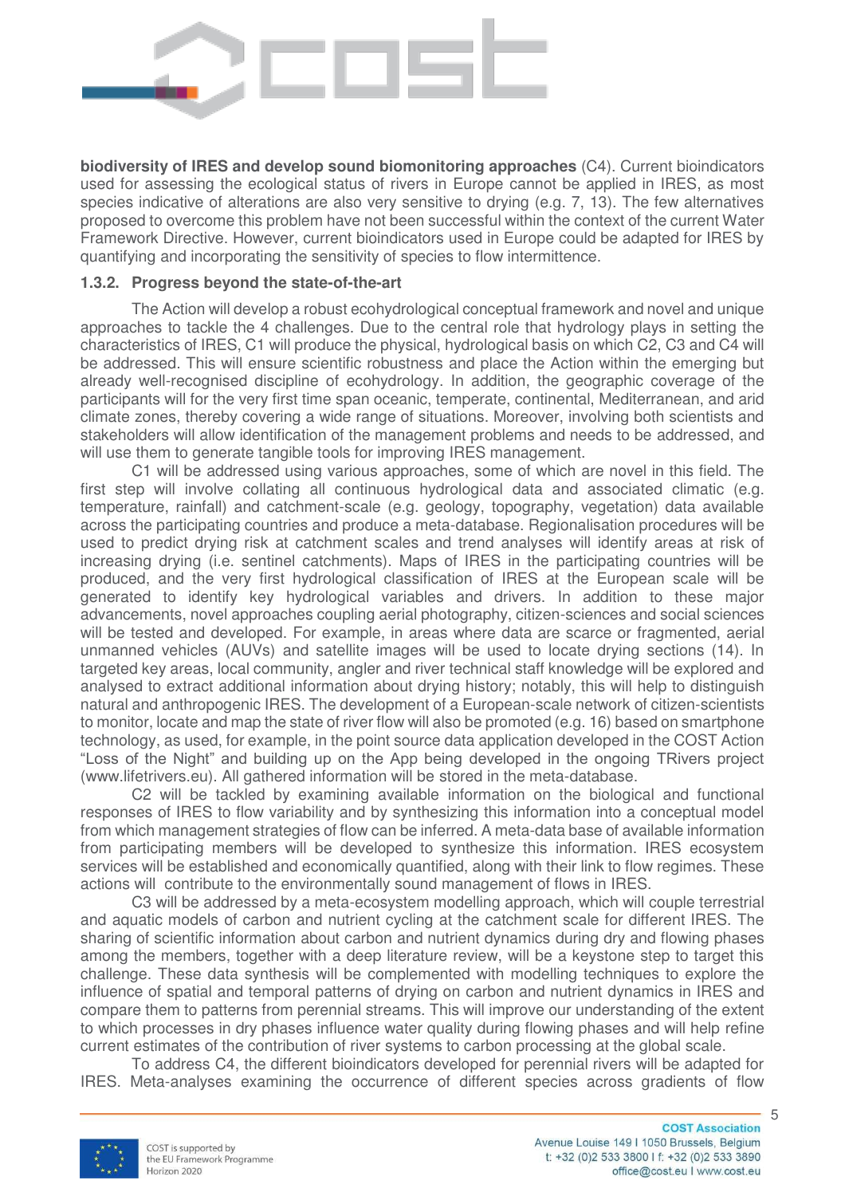

**biodiversity of IRES and develop sound biomonitoring approaches** (C4). Current bioindicators used for assessing the ecological status of rivers in Europe cannot be applied in IRES, as most species indicative of alterations are also very sensitive to drying (e.g. 7, 13). The few alternatives proposed to overcome this problem have not been successful within the context of the current Water Framework Directive. However, current bioindicators used in Europe could be adapted for IRES by quantifying and incorporating the sensitivity of species to flow intermittence.

### **1.3.2. Progress beyond the state-of-the-art**

The Action will develop a robust ecohydrological conceptual framework and novel and unique approaches to tackle the 4 challenges. Due to the central role that hydrology plays in setting the characteristics of IRES, C1 will produce the physical, hydrological basis on which C2, C3 and C4 will be addressed. This will ensure scientific robustness and place the Action within the emerging but already well-recognised discipline of ecohydrology. In addition, the geographic coverage of the participants will for the very first time span oceanic, temperate, continental, Mediterranean, and arid climate zones, thereby covering a wide range of situations. Moreover, involving both scientists and stakeholders will allow identification of the management problems and needs to be addressed, and will use them to generate tangible tools for improving IRES management.

C1 will be addressed using various approaches, some of which are novel in this field. The first step will involve collating all continuous hydrological data and associated climatic (e.g. temperature, rainfall) and catchment-scale (e.g. geology, topography, vegetation) data available across the participating countries and produce a meta-database. Regionalisation procedures will be used to predict drying risk at catchment scales and trend analyses will identify areas at risk of increasing drying (i.e. sentinel catchments). Maps of IRES in the participating countries will be produced, and the very first hydrological classification of IRES at the European scale will be generated to identify key hydrological variables and drivers. In addition to these major advancements, novel approaches coupling aerial photography, citizen-sciences and social sciences will be tested and developed. For example, in areas where data are scarce or fragmented, aerial unmanned vehicles (AUVs) and satellite images will be used to locate drying sections (14). In targeted key areas, local community, angler and river technical staff knowledge will be explored and analysed to extract additional information about drying history; notably, this will help to distinguish natural and anthropogenic IRES. The development of a European-scale network of citizen-scientists to monitor, locate and map the state of river flow will also be promoted (e.g. 16) based on smartphone technology, as used, for example, in the point source data application developed in the COST Action "Loss of the Night" and building up on the App being developed in the ongoing TRivers project (www.lifetrivers.eu). All gathered information will be stored in the meta-database.

 C2 will be tackled by examining available information on the biological and functional responses of IRES to flow variability and by synthesizing this information into a conceptual model from which management strategies of flow can be inferred. A meta-data base of available information from participating members will be developed to synthesize this information. IRES ecosystem services will be established and economically quantified, along with their link to flow regimes. These actions will contribute to the environmentally sound management of flows in IRES.

C3 will be addressed by a meta-ecosystem modelling approach, which will couple terrestrial and aquatic models of carbon and nutrient cycling at the catchment scale for different IRES. The sharing of scientific information about carbon and nutrient dynamics during dry and flowing phases among the members, together with a deep literature review, will be a keystone step to target this challenge. These data synthesis will be complemented with modelling techniques to explore the influence of spatial and temporal patterns of drying on carbon and nutrient dynamics in IRES and compare them to patterns from perennial streams. This will improve our understanding of the extent to which processes in dry phases influence water quality during flowing phases and will help refine current estimates of the contribution of river systems to carbon processing at the global scale.

To address C4, the different bioindicators developed for perennial rivers will be adapted for IRES. Meta-analyses examining the occurrence of different species across gradients of flow

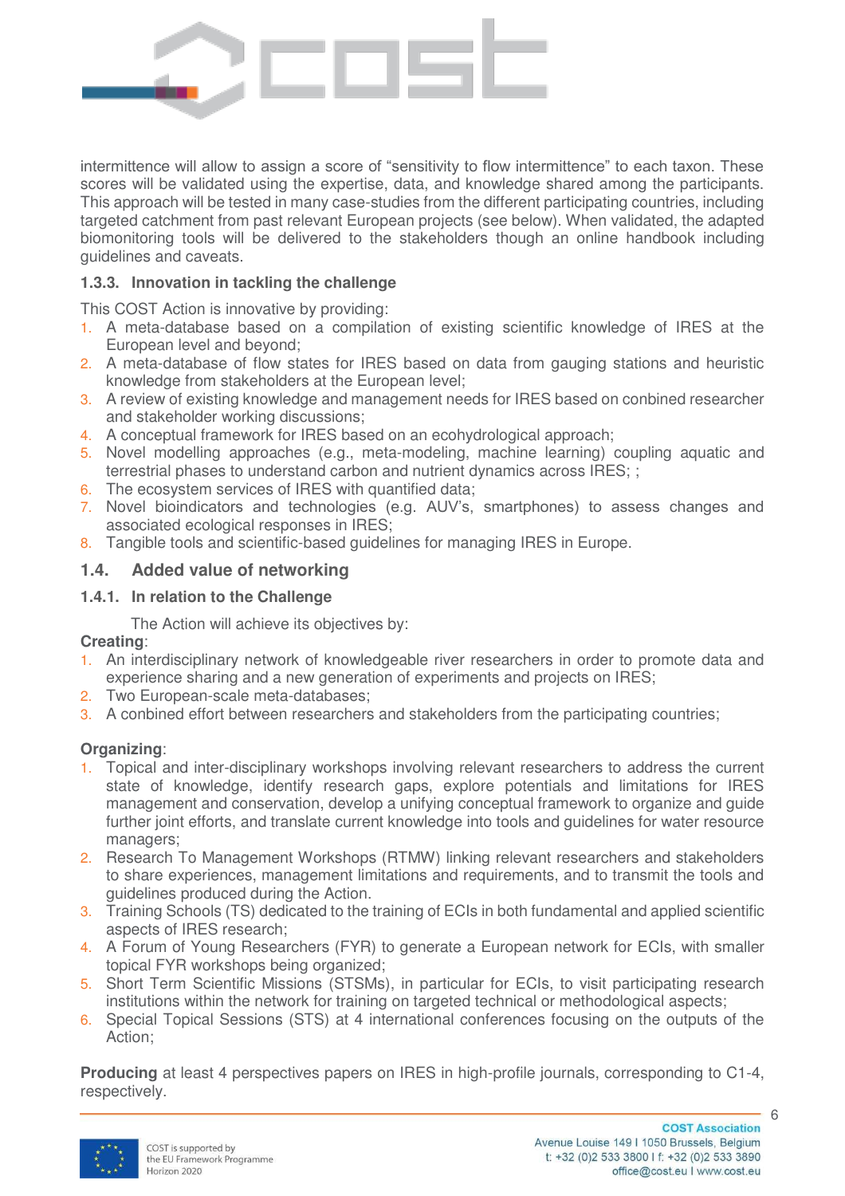

intermittence will allow to assign a score of "sensitivity to flow intermittence" to each taxon. These scores will be validated using the expertise, data, and knowledge shared among the participants. This approach will be tested in many case-studies from the different participating countries, including targeted catchment from past relevant European projects (see below). When validated, the adapted biomonitoring tools will be delivered to the stakeholders though an online handbook including guidelines and caveats.

# **1.3.3. Innovation in tackling the challenge**

This COST Action is innovative by providing:

- 1. A meta-database based on a compilation of existing scientific knowledge of IRES at the European level and beyond;
- 2. A meta-database of flow states for IRES based on data from gauging stations and heuristic knowledge from stakeholders at the European level;
- 3. A review of existing knowledge and management needs for IRES based on conbined researcher and stakeholder working discussions;
- 4. A conceptual framework for IRES based on an ecohydrological approach;
- 5. Novel modelling approaches (e.g., meta-modeling, machine learning) coupling aquatic and terrestrial phases to understand carbon and nutrient dynamics across IRES; ;
- 6. The ecosystem services of IRES with quantified data;
- 7. Novel bioindicators and technologies (e.g. AUV's, smartphones) to assess changes and associated ecological responses in IRES;
- 8. Tangible tools and scientific-based guidelines for managing IRES in Europe.

# **1.4. Added value of networking**

## **1.4.1. In relation to the Challenge**

The Action will achieve its objectives by:

#### **Creating**:

- 1. An interdisciplinary network of knowledgeable river researchers in order to promote data and experience sharing and a new generation of experiments and projects on IRES;
- 2. Two European-scale meta-databases;
- 3. A conbined effort between researchers and stakeholders from the participating countries;

# **Organizing**:

- 1. Topical and inter-disciplinary workshops involving relevant researchers to address the current state of knowledge, identify research gaps, explore potentials and limitations for IRES management and conservation, develop a unifying conceptual framework to organize and guide further joint efforts, and translate current knowledge into tools and guidelines for water resource managers;
- 2. Research To Management Workshops (RTMW) linking relevant researchers and stakeholders to share experiences, management limitations and requirements, and to transmit the tools and guidelines produced during the Action.
- 3. Training Schools (TS) dedicated to the training of ECIs in both fundamental and applied scientific aspects of IRES research;
- 4. A Forum of Young Researchers (FYR) to generate a European network for ECIs, with smaller topical FYR workshops being organized;
- 5. Short Term Scientific Missions (STSMs), in particular for ECIs, to visit participating research institutions within the network for training on targeted technical or methodological aspects;
- 6. Special Topical Sessions (STS) at 4 international conferences focusing on the outputs of the Action;

**Producing** at least 4 perspectives papers on IRES in high-profile journals, corresponding to C1-4, respectively.

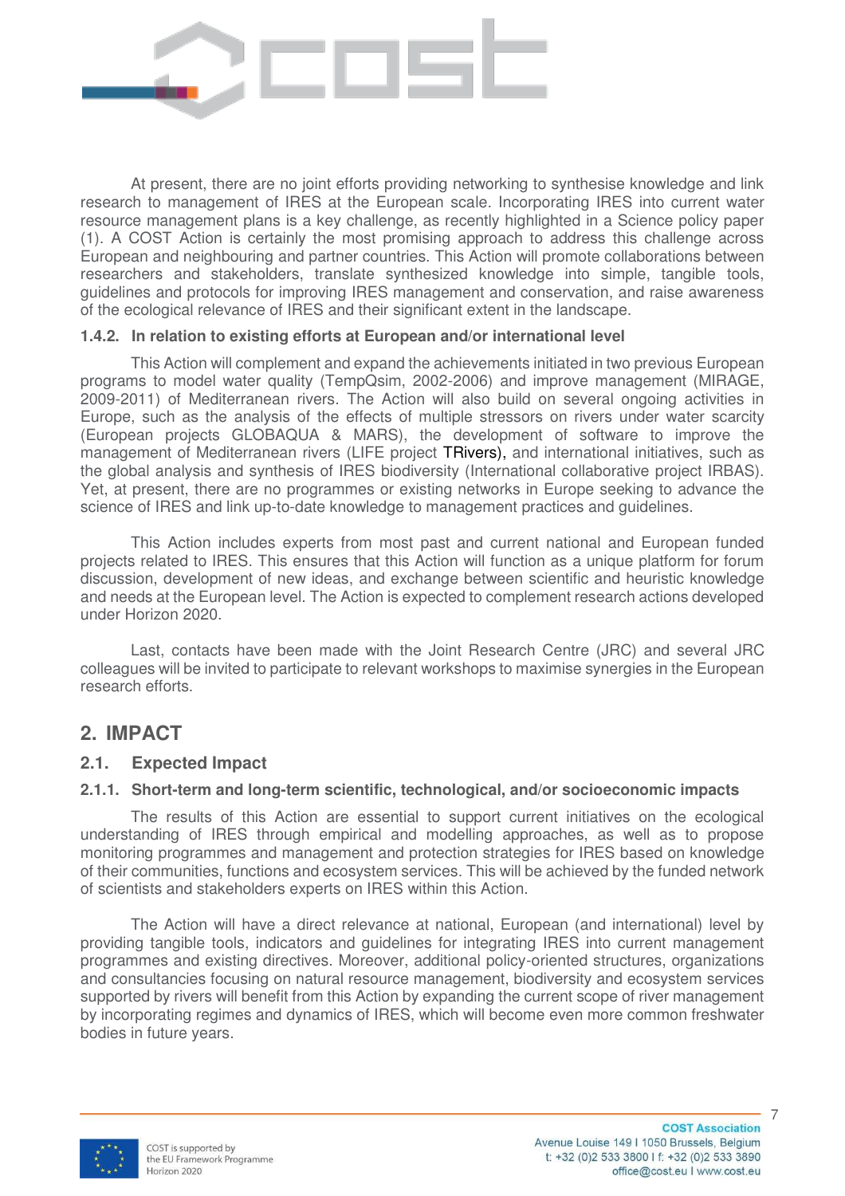

At present, there are no joint efforts providing networking to synthesise knowledge and link research to management of IRES at the European scale. Incorporating IRES into current water resource management plans is a key challenge, as recently highlighted in a Science policy paper (1). A COST Action is certainly the most promising approach to address this challenge across European and neighbouring and partner countries. This Action will promote collaborations between researchers and stakeholders, translate synthesized knowledge into simple, tangible tools, guidelines and protocols for improving IRES management and conservation, and raise awareness of the ecological relevance of IRES and their significant extent in the landscape.

#### **1.4.2. In relation to existing efforts at European and/or international level**

This Action will complement and expand the achievements initiated in two previous European programs to model water quality (TempQsim, 2002-2006) and improve management (MIRAGE, 2009-2011) of Mediterranean rivers. The Action will also build on several ongoing activities in Europe, such as the analysis of the effects of multiple stressors on rivers under water scarcity (European projects GLOBAQUA & MARS), the development of software to improve the management of Mediterranean rivers (LIFE project TRivers), and international initiatives, such as the global analysis and synthesis of IRES biodiversity (International collaborative project IRBAS). Yet, at present, there are no programmes or existing networks in Europe seeking to advance the science of IRES and link up-to-date knowledge to management practices and guidelines.

This Action includes experts from most past and current national and European funded projects related to IRES. This ensures that this Action will function as a unique platform for forum discussion, development of new ideas, and exchange between scientific and heuristic knowledge and needs at the European level. The Action is expected to complement research actions developed under Horizon 2020.

Last, contacts have been made with the Joint Research Centre (JRC) and several JRC colleagues will be invited to participate to relevant workshops to maximise synergies in the European research efforts.

# **2. IMPACT**

# **2.1. Expected Impact**

#### **2.1.1. Short-term and long-term scientific, technological, and/or socioeconomic impacts**

The results of this Action are essential to support current initiatives on the ecological understanding of IRES through empirical and modelling approaches, as well as to propose monitoring programmes and management and protection strategies for IRES based on knowledge of their communities, functions and ecosystem services. This will be achieved by the funded network of scientists and stakeholders experts on IRES within this Action.

The Action will have a direct relevance at national, European (and international) level by providing tangible tools, indicators and guidelines for integrating IRES into current management programmes and existing directives. Moreover, additional policy-oriented structures, organizations and consultancies focusing on natural resource management, biodiversity and ecosystem services supported by rivers will benefit from this Action by expanding the current scope of river management by incorporating regimes and dynamics of IRES, which will become even more common freshwater bodies in future years.

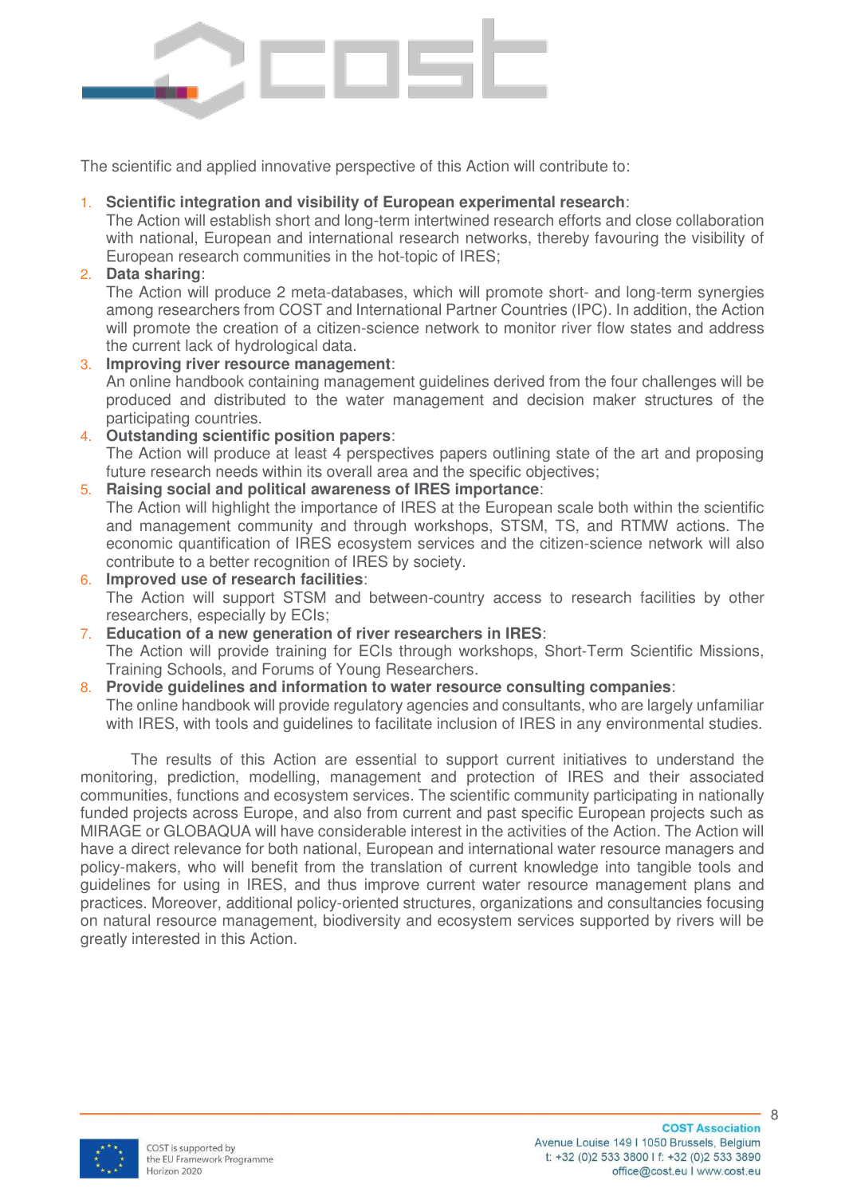

The scientific and applied innovative perspective of this Action will contribute to:

## 1. **Scientific integration and visibility of European experimental research**:

The Action will establish short and long-term intertwined research efforts and close collaboration with national, European and international research networks, thereby favouring the visibility of European research communities in the hot-topic of IRES;

2. **Data sharing**:

The Action will produce 2 meta-databases, which will promote short- and long-term synergies among researchers from COST and International Partner Countries (IPC). In addition, the Action will promote the creation of a citizen-science network to monitor river flow states and address the current lack of hydrological data.

## 3. **Improving river resource management**:

An online handbook containing management guidelines derived from the four challenges will be produced and distributed to the water management and decision maker structures of the participating countries.

### 4. **Outstanding scientific position papers**:

The Action will produce at least 4 perspectives papers outlining state of the art and proposing future research needs within its overall area and the specific objectives;

## 5. **Raising social and political awareness of IRES importance**:

The Action will highlight the importance of IRES at the European scale both within the scientific and management community and through workshops, STSM, TS, and RTMW actions. The economic quantification of IRES ecosystem services and the citizen-science network will also contribute to a better recognition of IRES by society.

- 6. **Improved use of research facilities**: The Action will support STSM and between-country access to research facilities by other researchers, especially by ECIs;
- 7. **Education of a new generation of river researchers in IRES**: The Action will provide training for ECIs through workshops, Short-Term Scientific Missions, Training Schools, and Forums of Young Researchers.

# 8. **Provide guidelines and information to water resource consulting companies**:

The online handbook will provide regulatory agencies and consultants, who are largely unfamiliar with IRES, with tools and quidelines to facilitate inclusion of IRES in any environmental studies.

The results of this Action are essential to support current initiatives to understand the monitoring, prediction, modelling, management and protection of IRES and their associated communities, functions and ecosystem services. The scientific community participating in nationally funded projects across Europe, and also from current and past specific European projects such as MIRAGE or GLOBAQUA will have considerable interest in the activities of the Action. The Action will have a direct relevance for both national, European and international water resource managers and policy-makers, who will benefit from the translation of current knowledge into tangible tools and guidelines for using in IRES, and thus improve current water resource management plans and practices. Moreover, additional policy-oriented structures, organizations and consultancies focusing on natural resource management, biodiversity and ecosystem services supported by rivers will be greatly interested in this Action.

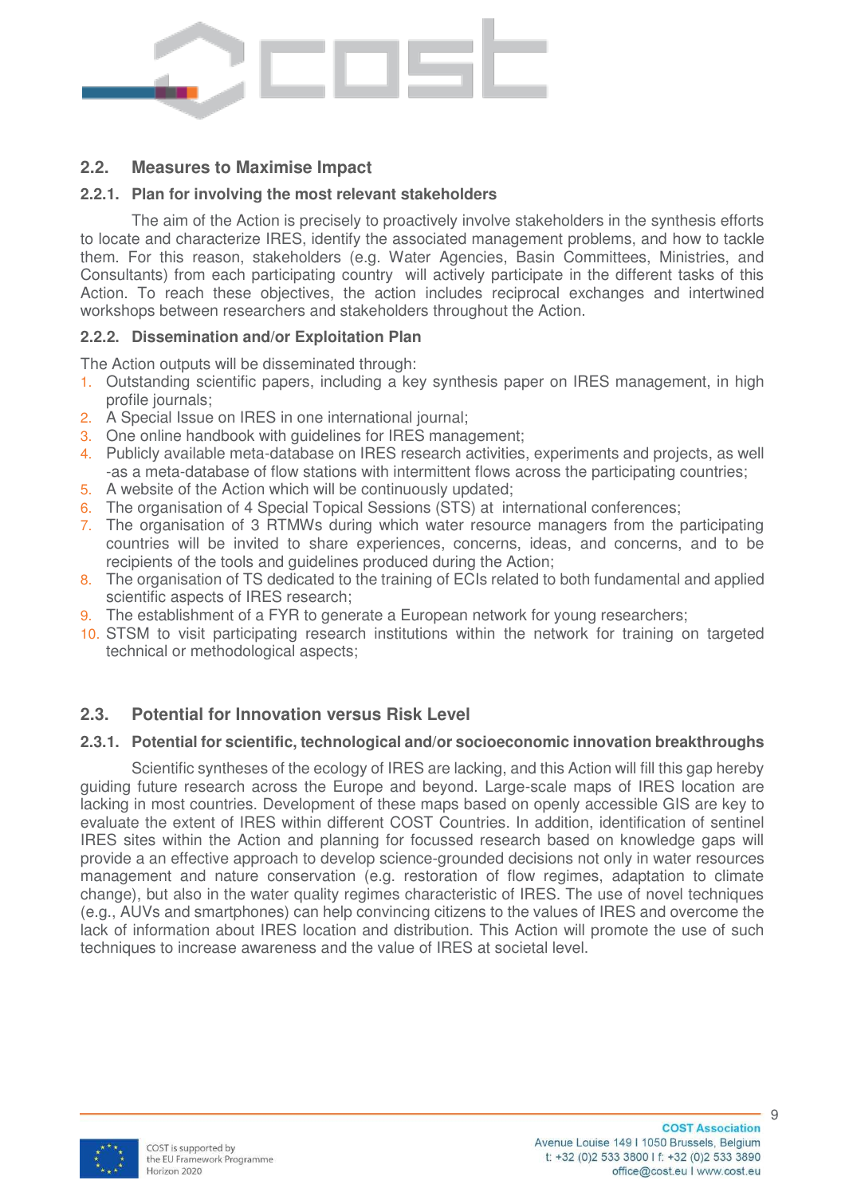

# **2.2. Measures to Maximise Impact**

### **2.2.1. Plan for involving the most relevant stakeholders**

The aim of the Action is precisely to proactively involve stakeholders in the synthesis efforts to locate and characterize IRES, identify the associated management problems, and how to tackle them. For this reason, stakeholders (e.g. Water Agencies, Basin Committees, Ministries, and Consultants) from each participating country will actively participate in the different tasks of this Action. To reach these objectives, the action includes reciprocal exchanges and intertwined workshops between researchers and stakeholders throughout the Action.

#### **2.2.2. Dissemination and/or Exploitation Plan**

The Action outputs will be disseminated through:

- 1. Outstanding scientific papers, including a key synthesis paper on IRES management, in high profile journals;
- 2. A Special Issue on IRES in one international journal;
- 3. One online handbook with guidelines for IRES management;
- 4. Publicly available meta-database on IRES research activities, experiments and projects, as well -as a meta-database of flow stations with intermittent flows across the participating countries;
- 5. A website of the Action which will be continuously updated;
- 6. The organisation of 4 Special Topical Sessions (STS) at international conferences;
- 7. The organisation of 3 RTMWs during which water resource managers from the participating countries will be invited to share experiences, concerns, ideas, and concerns, and to be recipients of the tools and guidelines produced during the Action;
- 8. The organisation of TS dedicated to the training of ECIs related to both fundamental and applied scientific aspects of IRES research;
- 9. The establishment of a FYR to generate a European network for young researchers;
- 10. STSM to visit participating research institutions within the network for training on targeted technical or methodological aspects;

# **2.3. Potential for Innovation versus Risk Level**

#### **2.3.1. Potential for scientific, technological and/or socioeconomic innovation breakthroughs**

Scientific syntheses of the ecology of IRES are lacking, and this Action will fill this gap hereby guiding future research across the Europe and beyond. Large-scale maps of IRES location are lacking in most countries. Development of these maps based on openly accessible GIS are key to evaluate the extent of IRES within different COST Countries. In addition, identification of sentinel IRES sites within the Action and planning for focussed research based on knowledge gaps will provide a an effective approach to develop science-grounded decisions not only in water resources management and nature conservation (e.g. restoration of flow regimes, adaptation to climate change), but also in the water quality regimes characteristic of IRES. The use of novel techniques (e.g., AUVs and smartphones) can help convincing citizens to the values of IRES and overcome the lack of information about IRES location and distribution. This Action will promote the use of such techniques to increase awareness and the value of IRES at societal level.

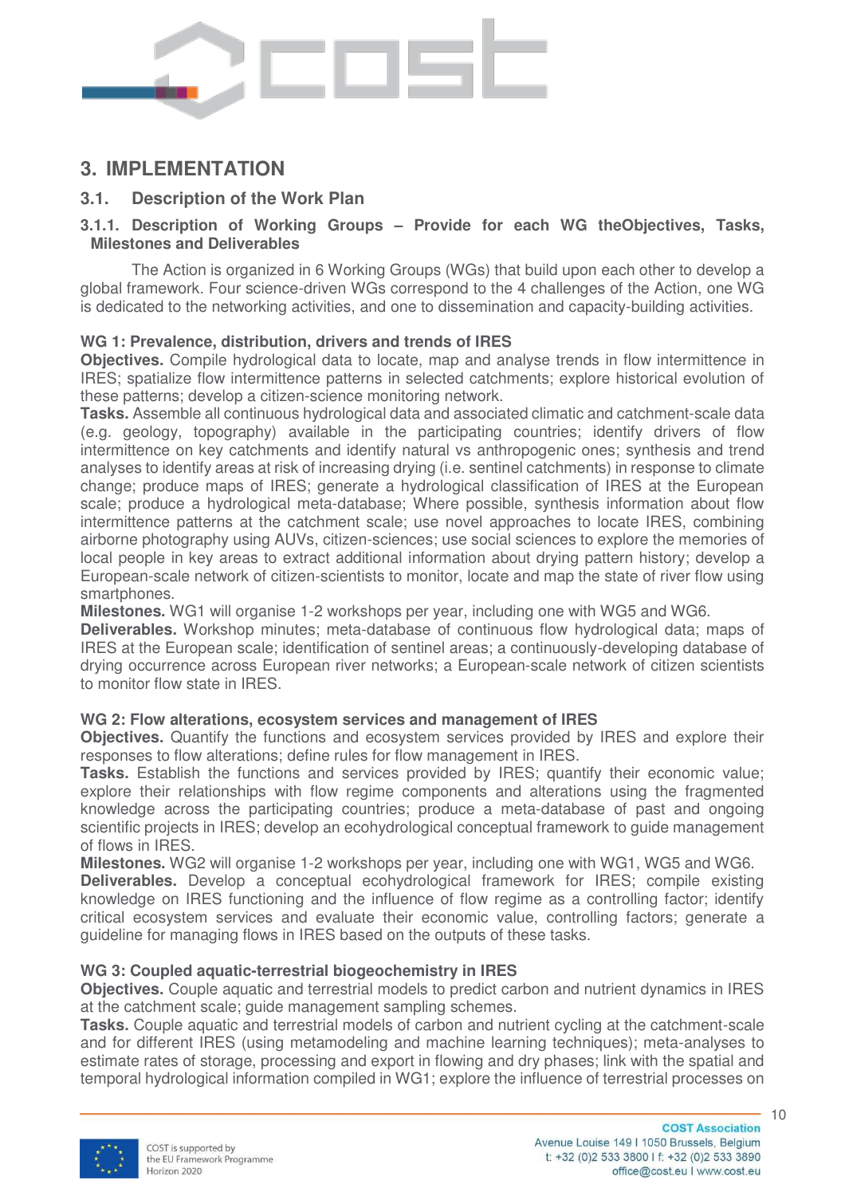

# **3. IMPLEMENTATION**

# **3.1. Description of the Work Plan**

## **3.1.1. Description of Working Groups – Provide for each WG theObjectives, Tasks, Milestones and Deliverables**

The Action is organized in 6 Working Groups (WGs) that build upon each other to develop a global framework. Four science-driven WGs correspond to the 4 challenges of the Action, one WG is dedicated to the networking activities, and one to dissemination and capacity-building activities.

# **WG 1: Prevalence, distribution, drivers and trends of IRES**

**Objectives.** Compile hydrological data to locate, map and analyse trends in flow intermittence in IRES; spatialize flow intermittence patterns in selected catchments; explore historical evolution of these patterns; develop a citizen-science monitoring network.

**Tasks.** Assemble all continuous hydrological data and associated climatic and catchment-scale data (e.g. geology, topography) available in the participating countries; identify drivers of flow intermittence on key catchments and identify natural vs anthropogenic ones; synthesis and trend analyses to identify areas at risk of increasing drying (i.e. sentinel catchments) in response to climate change; produce maps of IRES; generate a hydrological classification of IRES at the European scale; produce a hydrological meta-database; Where possible, synthesis information about flow intermittence patterns at the catchment scale; use novel approaches to locate IRES, combining airborne photography using AUVs, citizen-sciences; use social sciences to explore the memories of local people in key areas to extract additional information about drying pattern history; develop a European-scale network of citizen-scientists to monitor, locate and map the state of river flow using smartphones.

**Milestones.** WG1 will organise 1-2 workshops per year, including one with WG5 and WG6.

**Deliverables.** Workshop minutes; meta-database of continuous flow hydrological data; maps of IRES at the European scale; identification of sentinel areas; a continuously-developing database of drying occurrence across European river networks; a European-scale network of citizen scientists to monitor flow state in IRES.

#### **WG 2: Flow alterations, ecosystem services and management of IRES**

**Objectives.** Quantify the functions and ecosystem services provided by IRES and explore their responses to flow alterations; define rules for flow management in IRES.

**Tasks.** Establish the functions and services provided by IRES; quantify their economic value; explore their relationships with flow regime components and alterations using the fragmented knowledge across the participating countries; produce a meta-database of past and ongoing scientific projects in IRES; develop an ecohydrological conceptual framework to guide management of flows in IRES.

**Milestones.** WG2 will organise 1-2 workshops per year, including one with WG1, WG5 and WG6.

**Deliverables.** Develop a conceptual ecohydrological framework for IRES; compile existing knowledge on IRES functioning and the influence of flow regime as a controlling factor; identify critical ecosystem services and evaluate their economic value, controlling factors; generate a guideline for managing flows in IRES based on the outputs of these tasks.

#### **WG 3: Coupled aquatic-terrestrial biogeochemistry in IRES**

**Objectives.** Couple aquatic and terrestrial models to predict carbon and nutrient dynamics in IRES at the catchment scale; guide management sampling schemes.

**Tasks.** Couple aquatic and terrestrial models of carbon and nutrient cycling at the catchment-scale and for different IRES (using metamodeling and machine learning techniques); meta-analyses to estimate rates of storage, processing and export in flowing and dry phases; link with the spatial and temporal hydrological information compiled in WG1; explore the influence of terrestrial processes on

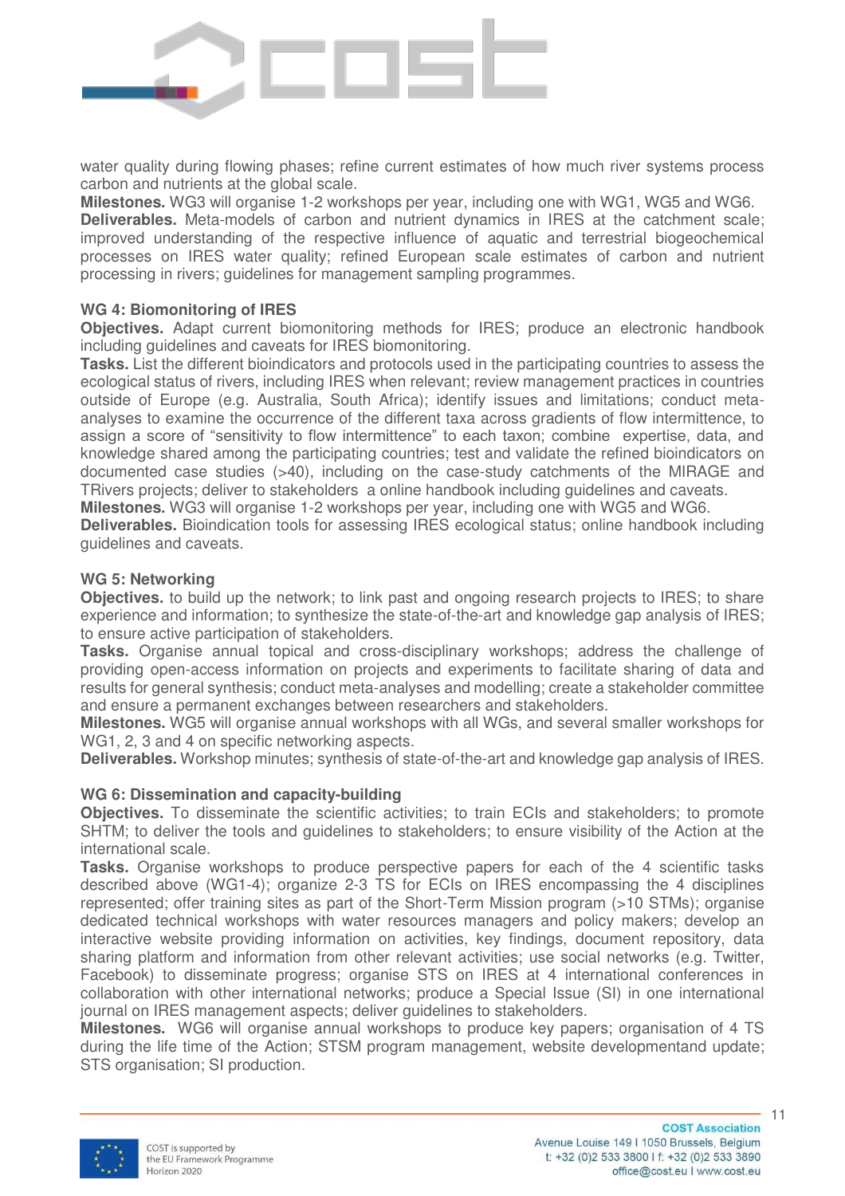

water quality during flowing phases; refine current estimates of how much river systems process carbon and nutrients at the global scale.

**Milestones.** WG3 will organise 1-2 workshops per year, including one with WG1, WG5 and WG6. **Deliverables.** Meta-models of carbon and nutrient dynamics in IRES at the catchment scale; improved understanding of the respective influence of aquatic and terrestrial biogeochemical processes on IRES water quality; refined European scale estimates of carbon and nutrient processing in rivers; guidelines for management sampling programmes.

#### **WG 4: Biomonitoring of IRES**

**Objectives.** Adapt current biomonitoring methods for IRES; produce an electronic handbook including guidelines and caveats for IRES biomonitoring.

**Tasks.** List the different bioindicators and protocols used in the participating countries to assess the ecological status of rivers, including IRES when relevant; review management practices in countries outside of Europe (e.g. Australia, South Africa); identify issues and limitations; conduct metaanalyses to examine the occurrence of the different taxa across gradients of flow intermittence, to assign a score of "sensitivity to flow intermittence" to each taxon; combine expertise, data, and knowledge shared among the participating countries; test and validate the refined bioindicators on documented case studies (>40), including on the case-study catchments of the MIRAGE and TRivers projects; deliver to stakeholders a online handbook including guidelines and caveats.

**Milestones.** WG3 will organise 1-2 workshops per year, including one with WG5 and WG6.

**Deliverables.** Bioindication tools for assessing IRES ecological status; online handbook including guidelines and caveats.

#### **WG 5: Networking**

**Objectives.** to build up the network; to link past and ongoing research projects to IRES; to share experience and information; to synthesize the state-of-the-art and knowledge gap analysis of IRES; to ensure active participation of stakeholders.

**Tasks.** Organise annual topical and cross-disciplinary workshops; address the challenge of providing open-access information on projects and experiments to facilitate sharing of data and results for general synthesis; conduct meta-analyses and modelling; create a stakeholder committee and ensure a permanent exchanges between researchers and stakeholders.

**Milestones.** WG5 will organise annual workshops with all WGs, and several smaller workshops for WG1, 2, 3 and 4 on specific networking aspects.

**Deliverables.** Workshop minutes; synthesis of state-of-the-art and knowledge gap analysis of IRES.

#### **WG 6: Dissemination and capacity-building**

**Objectives.** To disseminate the scientific activities; to train ECIs and stakeholders; to promote SHTM; to deliver the tools and guidelines to stakeholders; to ensure visibility of the Action at the international scale.

**Tasks.** Organise workshops to produce perspective papers for each of the 4 scientific tasks described above (WG1-4); organize 2-3 TS for ECIs on IRES encompassing the 4 disciplines represented; offer training sites as part of the Short-Term Mission program (>10 STMs); organise dedicated technical workshops with water resources managers and policy makers; develop an interactive website providing information on activities, key findings, document repository, data sharing platform and information from other relevant activities; use social networks (e.g. Twitter, Facebook) to disseminate progress; organise STS on IRES at 4 international conferences in collaboration with other international networks; produce a Special Issue (SI) in one international journal on IRES management aspects; deliver guidelines to stakeholders.

**Milestones.** WG6 will organise annual workshops to produce key papers; organisation of 4 TS during the life time of the Action; STSM program management, website developmentand update; STS organisation; SI production.

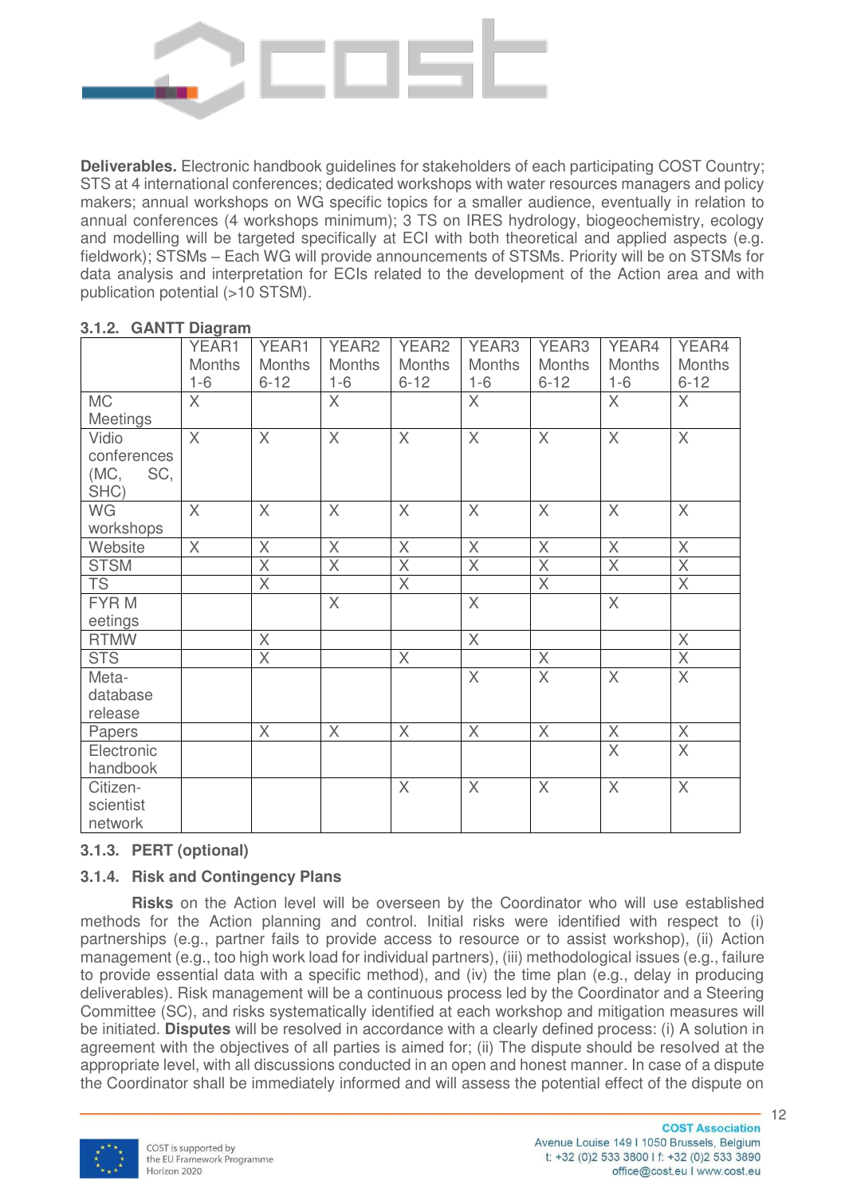

**Deliverables.** Electronic handbook guidelines for stakeholders of each participating COST Country; STS at 4 international conferences; dedicated workshops with water resources managers and policy makers; annual workshops on WG specific topics for a smaller audience, eventually in relation to annual conferences (4 workshops minimum); 3 TS on IRES hydrology, biogeochemistry, ecology and modelling will be targeted specifically at ECI with both theoretical and applied aspects (e.g. fieldwork); STSMs – Each WG will provide announcements of STSMs. Priority will be on STSMs for data analysis and interpretation for ECIs related to the development of the Action area and with publication potential (>10 STSM).

|                                             | YEAR1<br><b>Months</b><br>$1-6$ | YEAR1<br><b>Months</b><br>$6 - 12$ | YEAR <sub>2</sub><br><b>Months</b><br>$1 - 6$ | YEAR <sub>2</sub><br><b>Months</b><br>$6 - 12$ | YEAR3<br><b>Months</b><br>$1 - 6$ | YEAR3<br><b>Months</b><br>$6 - 12$ | YEAR4<br><b>Months</b><br>$1 - 6$ | YEAR4<br><b>Months</b><br>$6 - 12$ |
|---------------------------------------------|---------------------------------|------------------------------------|-----------------------------------------------|------------------------------------------------|-----------------------------------|------------------------------------|-----------------------------------|------------------------------------|
| <b>MC</b><br>Meetings                       | $\times$                        |                                    | $\overline{X}$                                |                                                | $\overline{X}$                    |                                    | X                                 | $\times$                           |
| Vidio<br>conferences<br>(MC,<br>SC,<br>SHC) | X                               | X                                  | X                                             | $\times$                                       | $\mathsf{X}$                      | $\times$                           | X                                 | $\chi$                             |
| WG<br>workshops                             | $\times$                        | $\times$                           | $\times$                                      | $\times$                                       | $\times$                          | $\times$                           | $\times$                          | $\times$                           |
| Website                                     | $\mathsf{X}$                    | X                                  | X                                             | $\times$                                       | $\mathsf{X}$                      | $\times$                           | $\times$                          | $\times$                           |
| <b>STSM</b>                                 |                                 | $\overline{\mathsf{X}}$            | $\overline{X}$                                | $\times$                                       | $\overline{X}$                    | $\times$                           | $\overline{X}$                    | $\times$                           |
| <b>TS</b>                                   |                                 | X                                  |                                               | $\times$                                       |                                   | X                                  |                                   | X                                  |
| FYR M<br>eetings                            |                                 |                                    | $\overline{X}$                                |                                                | $\overline{X}$                    |                                    | $\overline{X}$                    |                                    |
| <b>RTMW</b>                                 |                                 | $\overline{\chi}$                  |                                               |                                                | $\mathsf{X}$                      |                                    |                                   | $\times$                           |
| <b>STS</b>                                  |                                 | $\overline{X}$                     |                                               | $\mathsf{X}$                                   |                                   | $\times$                           |                                   | $\mathsf{X}$                       |
| Meta-<br>database<br>release                |                                 |                                    |                                               |                                                | $\times$                          | $\mathsf{X}$                       | $\times$                          | $\mathsf{X}$                       |
| Papers                                      |                                 | $\times$                           | $\times$                                      | X                                              | $\chi$                            | X                                  | X                                 | $\chi$                             |
| Electronic<br>handbook                      |                                 |                                    |                                               |                                                |                                   |                                    | $\times$                          | $\mathsf{X}$                       |
| Citizen-<br>scientist<br>network            |                                 |                                    |                                               | $\times$                                       | $\mathsf{X}$                      | $\times$                           | X                                 | $\chi$                             |

#### **3.1.2. GANTT Diagram**

# **3.1.3. PERT (optional)**

# **3.1.4. Risk and Contingency Plans**

**Risks** on the Action level will be overseen by the Coordinator who will use established methods for the Action planning and control. Initial risks were identified with respect to (i) partnerships (e.g., partner fails to provide access to resource or to assist workshop), (ii) Action management (e.g., too high work load for individual partners), (iii) methodological issues (e.g., failure to provide essential data with a specific method), and (iv) the time plan (e.g., delay in producing deliverables). Risk management will be a continuous process led by the Coordinator and a Steering Committee (SC), and risks systematically identified at each workshop and mitigation measures will be initiated. **Disputes** will be resolved in accordance with a clearly defined process: (i) A solution in agreement with the objectives of all parties is aimed for; (ii) The dispute should be resolved at the appropriate level, with all discussions conducted in an open and honest manner. In case of a dispute the Coordinator shall be immediately informed and will assess the potential effect of the dispute on

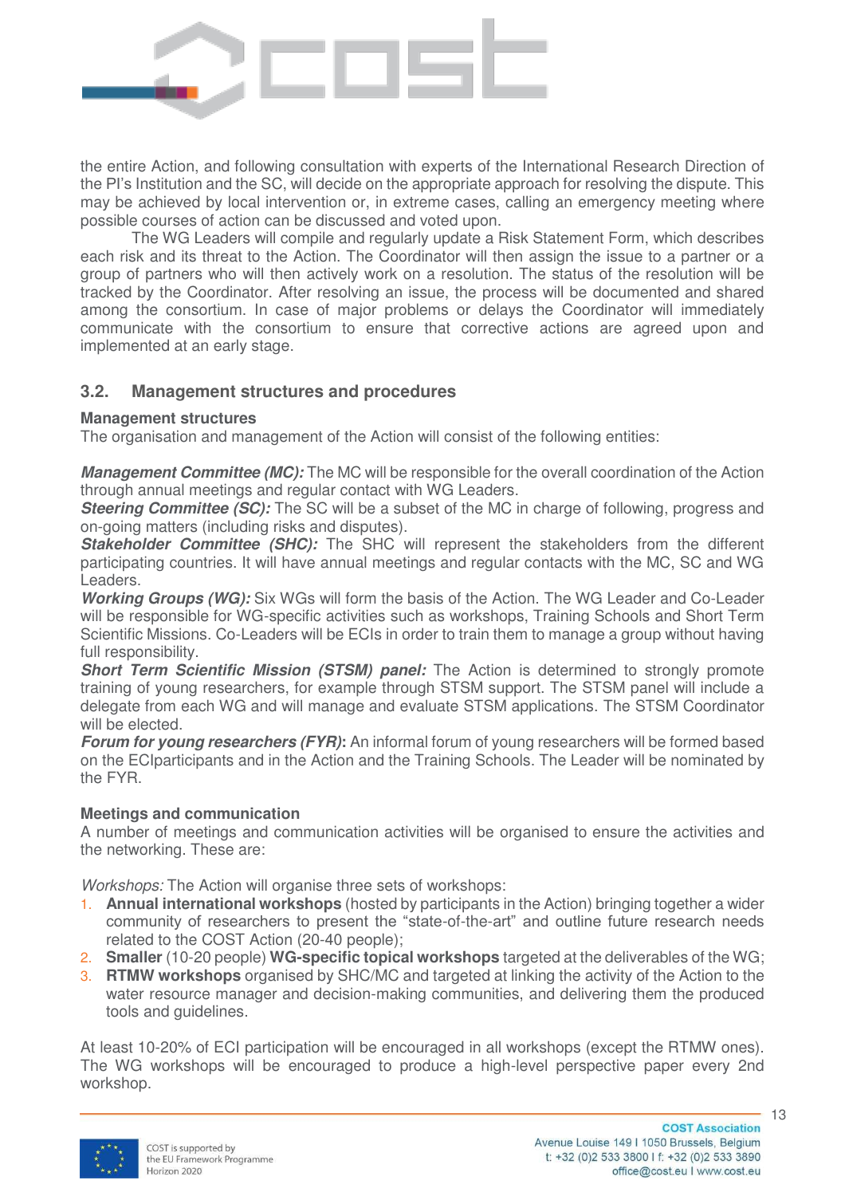

the entire Action, and following consultation with experts of the International Research Direction of the PI's Institution and the SC, will decide on the appropriate approach for resolving the dispute. This may be achieved by local intervention or, in extreme cases, calling an emergency meeting where possible courses of action can be discussed and voted upon.

The WG Leaders will compile and regularly update a Risk Statement Form, which describes each risk and its threat to the Action. The Coordinator will then assign the issue to a partner or a group of partners who will then actively work on a resolution. The status of the resolution will be tracked by the Coordinator. After resolving an issue, the process will be documented and shared among the consortium. In case of major problems or delays the Coordinator will immediately communicate with the consortium to ensure that corrective actions are agreed upon and implemented at an early stage.

# **3.2. Management structures and procedures**

## **Management structures**

The organisation and management of the Action will consist of the following entities:

*Management Committee (MC):* The MC will be responsible for the overall coordination of the Action through annual meetings and regular contact with WG Leaders.

**Steering Committee (SC):** The SC will be a subset of the MC in charge of following, progress and on-going matters (including risks and disputes).

**Stakeholder Committee (SHC):** The SHC will represent the stakeholders from the different participating countries. It will have annual meetings and regular contacts with the MC, SC and WG Leaders.

*Working Groups (WG):* Six WGs will form the basis of the Action. The WG Leader and Co-Leader will be responsible for WG-specific activities such as workshops, Training Schools and Short Term Scientific Missions. Co-Leaders will be ECIs in order to train them to manage a group without having full responsibility.

**Short Term Scientific Mission (STSM) panel:** The Action is determined to strongly promote training of young researchers, for example through STSM support. The STSM panel will include a delegate from each WG and will manage and evaluate STSM applications. The STSM Coordinator will be elected.

*Forum for young researchers (FYR)***:** An informal forum of young researchers will be formed based on the ECIparticipants and in the Action and the Training Schools. The Leader will be nominated by the FYR.

# **Meetings and communication**

A number of meetings and communication activities will be organised to ensure the activities and the networking. These are:

*Workshops:* The Action will organise three sets of workshops:

- 1. **Annual international workshops** (hosted by participants in the Action) bringing together a wider community of researchers to present the "state-of-the-art" and outline future research needs related to the COST Action (20-40 people);
- 2. **Smaller** (10-20 people) **WG-specific topical workshops** targeted at the deliverables of the WG;
- 3. **RTMW workshops** organised by SHC/MC and targeted at linking the activity of the Action to the water resource manager and decision-making communities, and delivering them the produced tools and guidelines.

At least 10-20% of ECI participation will be encouraged in all workshops (except the RTMW ones). The WG workshops will be encouraged to produce a high-level perspective paper every 2nd workshop.

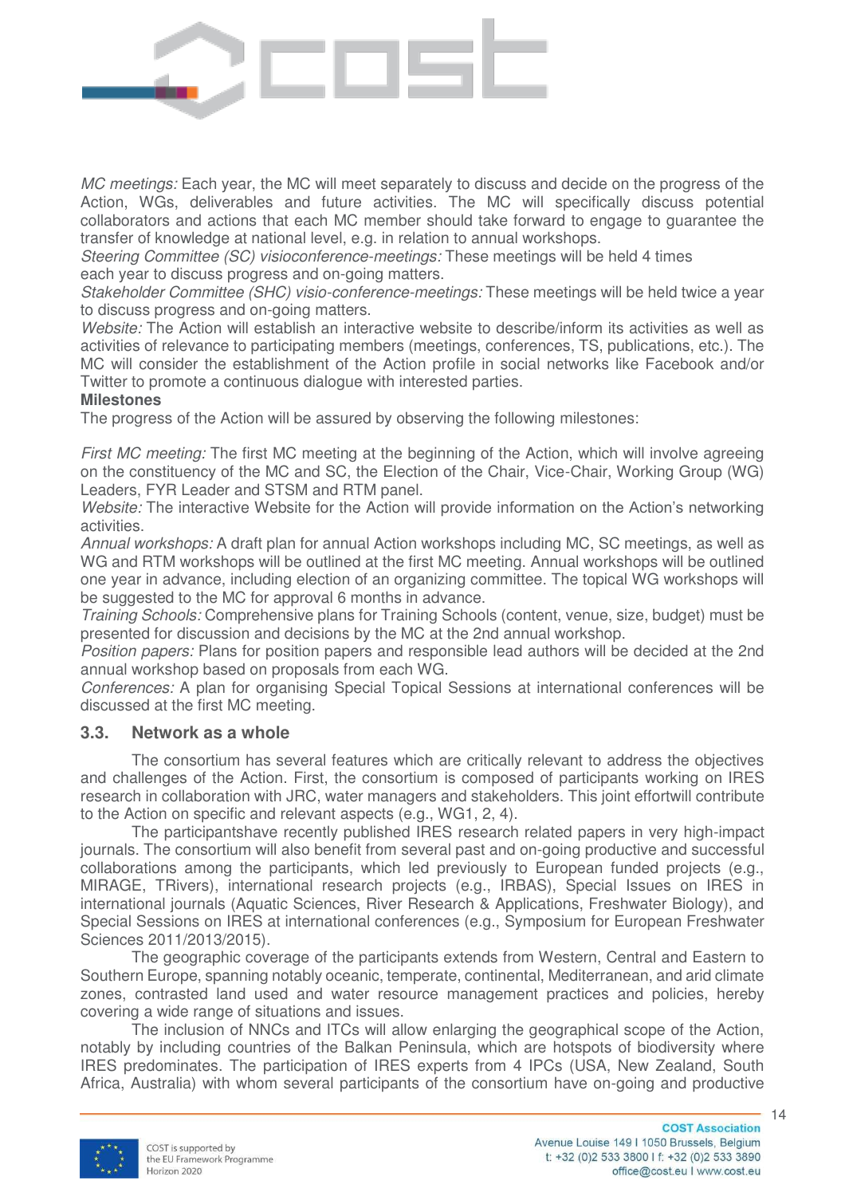

*MC meetings:* Each year, the MC will meet separately to discuss and decide on the progress of the Action, WGs, deliverables and future activities. The MC will specifically discuss potential collaborators and actions that each MC member should take forward to engage to guarantee the transfer of knowledge at national level, e.g. in relation to annual workshops.

*Steering Committee (SC) visioconference-meetings:* These meetings will be held 4 times each year to discuss progress and on-going matters.

*Stakeholder Committee (SHC) visio-conference-meetings:* These meetings will be held twice a year to discuss progress and on-going matters.

*Website:* The Action will establish an interactive website to describe/inform its activities as well as activities of relevance to participating members (meetings, conferences, TS, publications, etc.). The MC will consider the establishment of the Action profile in social networks like Facebook and/or Twitter to promote a continuous dialogue with interested parties.

#### **Milestones**

The progress of the Action will be assured by observing the following milestones:

*First MC meeting:* The first MC meeting at the beginning of the Action, which will involve agreeing on the constituency of the MC and SC, the Election of the Chair, Vice-Chair, Working Group (WG) Leaders, FYR Leader and STSM and RTM panel.

*Website:* The interactive Website for the Action will provide information on the Action's networking activities.

*Annual workshops:* A draft plan for annual Action workshops including MC, SC meetings, as well as WG and RTM workshops will be outlined at the first MC meeting. Annual workshops will be outlined one year in advance, including election of an organizing committee. The topical WG workshops will be suggested to the MC for approval 6 months in advance.

*Training Schools:* Comprehensive plans for Training Schools (content, venue, size, budget) must be presented for discussion and decisions by the MC at the 2nd annual workshop.

*Position papers:* Plans for position papers and responsible lead authors will be decided at the 2nd annual workshop based on proposals from each WG.

*Conferences:* A plan for organising Special Topical Sessions at international conferences will be discussed at the first MC meeting.

#### **3.3. Network as a whole**

The consortium has several features which are critically relevant to address the objectives and challenges of the Action. First, the consortium is composed of participants working on IRES research in collaboration with JRC, water managers and stakeholders. This joint effortwill contribute to the Action on specific and relevant aspects (e.g., WG1, 2, 4).

The participantshave recently published IRES research related papers in very high-impact journals. The consortium will also benefit from several past and on-going productive and successful collaborations among the participants, which led previously to European funded projects (e.g., MIRAGE, TRivers), international research projects (e.g., IRBAS), Special Issues on IRES in international journals (Aquatic Sciences, River Research & Applications, Freshwater Biology), and Special Sessions on IRES at international conferences (e.g., Symposium for European Freshwater Sciences 2011/2013/2015).

The geographic coverage of the participants extends from Western, Central and Eastern to Southern Europe, spanning notably oceanic, temperate, continental, Mediterranean, and arid climate zones, contrasted land used and water resource management practices and policies, hereby covering a wide range of situations and issues.

The inclusion of NNCs and ITCs will allow enlarging the geographical scope of the Action, notably by including countries of the Balkan Peninsula, which are hotspots of biodiversity where IRES predominates. The participation of IRES experts from 4 IPCs (USA, New Zealand, South Africa, Australia) with whom several participants of the consortium have on-going and productive